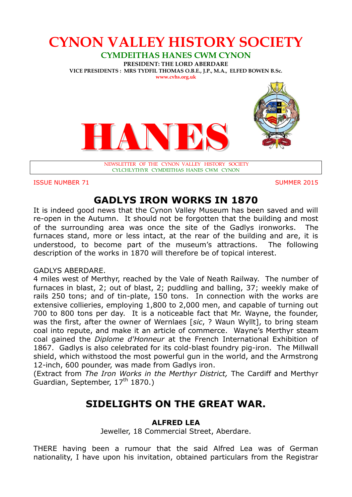

**ISSUE NUMBER 71** SUMMER 2015

# **GADLYS IRON WORKS IN 1870**

It is indeed good news that the Cynon Valley Museum has been saved and will re-open in the Autumn. It should not be forgotten that the building and most of the surrounding area was once the site of the Gadlys ironworks. The furnaces stand, more or less intact, at the rear of the building and are, it is understood, to become part of the museum's attractions. The following description of the works in 1870 will therefore be of topical interest.

## GADLYS ABERDARE.

4 miles west of Merthyr, reached by the Vale of Neath Railway. The number of furnaces in blast, 2; out of blast, 2; puddling and balling, 37; weekly make of rails 250 tons; and of tin-plate, 150 tons. In connection with the works are extensive collieries, employing 1,800 to 2,000 men, and capable of turning out 700 to 800 tons per day. It is a noticeable fact that Mr. Wayne, the founder, was the first, after the owner of Wernlaes [*sic*, ? Waun Wyllt], to bring steam coal into repute, and make it an article of commerce. Wayne's Merthyr steam coal gained the *Diplome d'Honneur* at the French International Exhibition of 1867. Gadlys is also celebrated for its cold-blast foundry pig-iron. The Millwall shield, which withstood the most powerful gun in the world, and the Armstrong 12-inch, 600 pounder, was made from Gadlys iron.

(Extract from *The Iron Works in the Merthyr District,* The Cardiff and Merthyr Guardian, September,  $17<sup>th</sup> 1870$ .)

## **SIDELIGHTS ON THE GREAT WAR.**

## **ALFRED LEA**

Jeweller, 18 Commercial Street, Aberdare.

THERE having been a rumour that the said Alfred Lea was of German nationality, I have upon his invitation, obtained particulars from the Registrar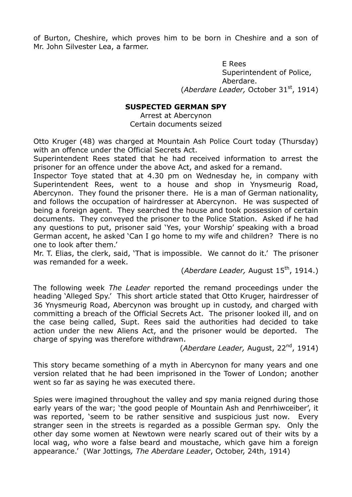of Burton, Cheshire, which proves him to be born in Cheshire and a son of Mr. John Silvester Lea, a farmer.

> E Rees Superintendent of Police, Aberdare. (*Aberdare Leader,* October 31st, 1914)

#### **SUSPECTED GERMAN SPY**

Arrest at Abercynon Certain documents seized

Otto Kruger (48) was charged at Mountain Ash Police Court today (Thursday) with an offence under the Official Secrets Act.

Superintendent Rees stated that he had received information to arrest the prisoner for an offence under the above Act, and asked for a remand.

Inspector Toye stated that at 4.30 pm on Wednesday he, in company with Superintendent Rees, went to a house and shop in Ynysmeurig Road, Abercynon. They found the prisoner there. He is a man of German nationality, and follows the occupation of hairdresser at Abercynon. He was suspected of being a foreign agent. They searched the house and took possession of certain documents. They conveyed the prisoner to the Police Station. Asked if he had any questions to put, prisoner said 'Yes, your Worship' speaking with a broad German accent, he asked 'Can I go home to my wife and children? There is no one to look after them.'

Mr. T. Elias, the clerk, said, 'That is impossible. We cannot do it.' The prisoner was remanded for a week.

(*Aberdare Leader*, August 15<sup>th</sup>, 1914.)

The following week *The Leader* reported the remand proceedings under the heading 'Alleged Spy.' This short article stated that Otto Kruger, hairdresser of 36 Ynysmeurig Road, Abercynon was brought up in custody, and charged with committing a breach of the Official Secrets Act. The prisoner looked ill, and on the case being called, Supt. Rees said the authorities had decided to take action under the new Aliens Act, and the prisoner would be deported. The charge of spying was therefore withdrawn.

(*Aberdare Leader,* August, 22nd, 1914)

This story became something of a myth in Abercynon for many years and one version related that he had been imprisoned in the Tower of London; another went so far as saying he was executed there.

Spies were imagined throughout the valley and spy mania reigned during those early years of the war; 'the good people of Mountain Ash and Penrhiwceiber', it was reported, 'seem to be rather sensitive and suspicious just now. Every stranger seen in the streets is regarded as a possible German spy. Only the other day some women at Newtown were nearly scared out of their wits by a local wag, who wore a false beard and moustache, which gave him a foreign appearance.' (War Jottings*, The Aberdare Leader*, October, 24th, 1914)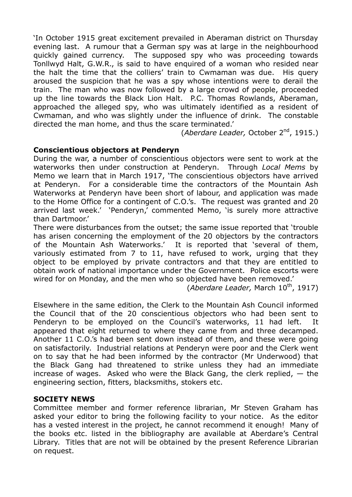'In October 1915 great excitement prevailed in Aberaman district on Thursday evening last. A rumour that a German spy was at large in the neighbourhood quickly gained currency. The supposed spy who was proceeding towards Tonllwyd Halt, G.W.R., is said to have enquired of a woman who resided near the halt the time that the colliers' train to Cwmaman was due. His query aroused the suspicion that he was a spy whose intentions were to derail the train. The man who was now followed by a large crowd of people, proceeded up the line towards the Black Lion Halt. P.C. Thomas Rowlands, Aberaman, approached the alleged spy, who was ultimately identified as a resident of Cwmaman, and who was slightly under the influence of drink. The constable directed the man home, and thus the scare terminated.'

(*Aberdare Leader,* October 2nd, 1915.)

## **Conscientious objectors at Penderyn**

During the war, a number of conscientious objectors were sent to work at the waterworks then under construction at Penderyn. Through *Local Mems* by Memo we learn that in March 1917, 'The conscientious objectors have arrived at Penderyn. For a considerable time the contractors of the Mountain Ash Waterworks at Penderyn have been short of labour, and application was made to the Home Office for a contingent of C.O.'s. The request was granted and 20 arrived last week.' 'Penderyn,' commented Memo, 'is surely more attractive than Dartmoor.'

There were disturbances from the outset; the same issue reported that 'trouble has arisen concerning the employment of the 20 objectors by the contractors of the Mountain Ash Waterworks.' It is reported that 'several of them, variously estimated from 7 to 11, have refused to work, urging that they object to be employed by private contractors and that they are entitled to obtain work of national importance under the Government. Police escorts were wired for on Monday, and the men who so objected have been removed.'

(*Aberdare Leader,* March 10<sup>th</sup>, 1917)

Elsewhere in the same edition, the Clerk to the Mountain Ash Council informed the Council that of the 20 conscientious objectors who had been sent to Penderyn to be employed on the Council's waterworks, 11 had left. It appeared that eight returned to where they came from and three decamped. Another 11 C.O.'s had been sent down instead of them, and these were going on satisfactorily. Industrial relations at Penderyn were poor and the Clerk went on to say that he had been informed by the contractor (Mr Underwood) that the Black Gang had threatened to strike unless they had an immediate increase of wages. Asked who were the Black Gang, the clerk replied,  $-$  the engineering section, fitters, blacksmiths, stokers etc.

## **SOCIETY NEWS**

Committee member and former reference librarian, Mr Steven Graham has asked your editor to bring the following facility to your notice. As the editor has a vested interest in the project, he cannot recommend it enough! Many of the books etc. listed in the bibliography are available at Aberdare's Central Library. Titles that are not will be obtained by the present Reference Librarian on request.